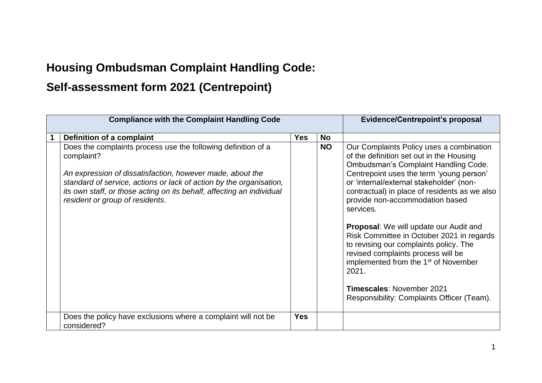## **Housing Ombudsman Complaint Handling Code:**

## **Self-assessment form 2021 (Centrepoint)**

| <b>Compliance with the Complaint Handling Code</b>                                                                                                                                                                                                                                                                          |            |           | <b>Evidence/Centrepoint's proposal</b>                                                                                                                                                                                                                                                                                                                                                                                                                                                                                                                                  |
|-----------------------------------------------------------------------------------------------------------------------------------------------------------------------------------------------------------------------------------------------------------------------------------------------------------------------------|------------|-----------|-------------------------------------------------------------------------------------------------------------------------------------------------------------------------------------------------------------------------------------------------------------------------------------------------------------------------------------------------------------------------------------------------------------------------------------------------------------------------------------------------------------------------------------------------------------------------|
| Definition of a complaint                                                                                                                                                                                                                                                                                                   | <b>Yes</b> | <b>No</b> |                                                                                                                                                                                                                                                                                                                                                                                                                                                                                                                                                                         |
| Does the complaints process use the following definition of a<br>complaint?<br>An expression of dissatisfaction, however made, about the<br>standard of service, actions or lack of action by the organisation,<br>its own staff, or those acting on its behalf, affecting an individual<br>resident or group of residents. |            | <b>NO</b> | Our Complaints Policy uses a combination<br>of the definition set out in the Housing<br><b>Ombudsman's Complaint Handling Code.</b><br>Centrepoint uses the term 'young person'<br>or 'internal/external stakeholder' (non-<br>contractual) in place of residents as we also<br>provide non-accommodation based<br>services.<br><b>Proposal:</b> We will update our Audit and<br>Risk Committee in October 2021 in regards<br>to revising our complaints policy. The<br>revised complaints process will be<br>implemented from the 1 <sup>st</sup> of November<br>2021. |
|                                                                                                                                                                                                                                                                                                                             |            |           | <b>Timescales: November 2021</b><br>Responsibility: Complaints Officer (Team).                                                                                                                                                                                                                                                                                                                                                                                                                                                                                          |
| Does the policy have exclusions where a complaint will not be<br>considered?                                                                                                                                                                                                                                                | <b>Yes</b> |           |                                                                                                                                                                                                                                                                                                                                                                                                                                                                                                                                                                         |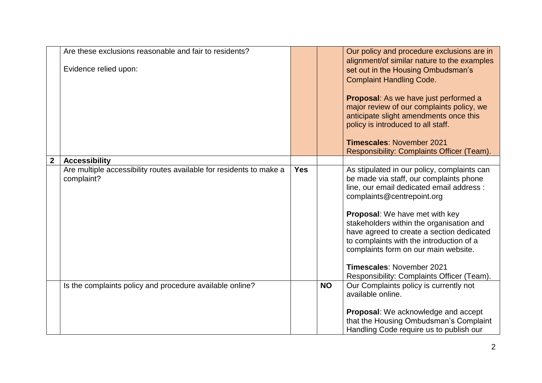|                  | Are these exclusions reasonable and fair to residents?<br>Evidence relied upon:   |            |           | Our policy and procedure exclusions are in<br>alignment/of similar nature to the examples<br>set out in the Housing Ombudsman's<br><b>Complaint Handling Code.</b><br><b>Proposal:</b> As we have just performed a<br>major review of our complaints policy, we<br>anticipate slight amendments once this                                                                                                                                                          |
|------------------|-----------------------------------------------------------------------------------|------------|-----------|--------------------------------------------------------------------------------------------------------------------------------------------------------------------------------------------------------------------------------------------------------------------------------------------------------------------------------------------------------------------------------------------------------------------------------------------------------------------|
|                  |                                                                                   |            |           | policy is introduced to all staff.<br><b>Timescales: November 2021</b><br>Responsibility: Complaints Officer (Team).                                                                                                                                                                                                                                                                                                                                               |
| $\boldsymbol{2}$ | <b>Accessibility</b>                                                              |            |           |                                                                                                                                                                                                                                                                                                                                                                                                                                                                    |
|                  | Are multiple accessibility routes available for residents to make a<br>complaint? | <b>Yes</b> |           | As stipulated in our policy, complaints can<br>be made via staff, our complaints phone<br>line, our email dedicated email address :<br>complaints@centrepoint.org<br>Proposal: We have met with key<br>stakeholders within the organisation and<br>have agreed to create a section dedicated<br>to complaints with the introduction of a<br>complaints form on our main website.<br><b>Timescales: November 2021</b><br>Responsibility: Complaints Officer (Team). |
|                  | Is the complaints policy and procedure available online?                          |            | <b>NO</b> | Our Complaints policy is currently not<br>available online.<br><b>Proposal:</b> We acknowledge and accept<br>that the Housing Ombudsman's Complaint<br>Handling Code require us to publish our                                                                                                                                                                                                                                                                     |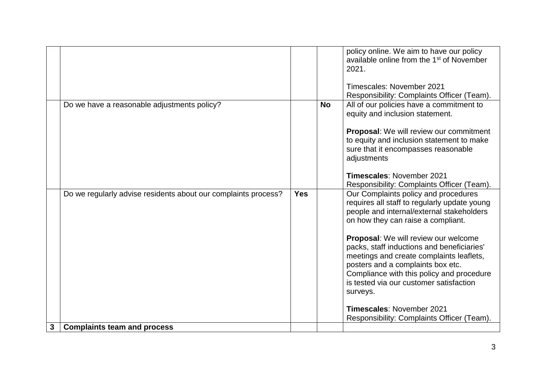|   |                                                                |            |           | policy online. We aim to have our policy<br>available online from the 1 <sup>st</sup> of November<br>2021.<br>Timescales: November 2021<br>Responsibility: Complaints Officer (Team).                                                                                                                                                                                                                                                                                                                                         |
|---|----------------------------------------------------------------|------------|-----------|-------------------------------------------------------------------------------------------------------------------------------------------------------------------------------------------------------------------------------------------------------------------------------------------------------------------------------------------------------------------------------------------------------------------------------------------------------------------------------------------------------------------------------|
|   | Do we have a reasonable adjustments policy?                    |            | <b>No</b> | All of our policies have a commitment to<br>equity and inclusion statement.<br>Proposal: We will review our commitment<br>to equity and inclusion statement to make<br>sure that it encompasses reasonable<br>adjustments<br><b>Timescales: November 2021</b><br>Responsibility: Complaints Officer (Team).                                                                                                                                                                                                                   |
|   | Do we regularly advise residents about our complaints process? | <b>Yes</b> |           | Our Complaints policy and procedures<br>requires all staff to regularly update young<br>people and internal/external stakeholders<br>on how they can raise a compliant.<br>Proposal: We will review our welcome<br>packs, staff inductions and beneficiaries'<br>meetings and create complaints leaflets,<br>posters and a complaints box etc.<br>Compliance with this policy and procedure<br>is tested via our customer satisfaction<br>surveys.<br>Timescales: November 2021<br>Responsibility: Complaints Officer (Team). |
| 3 | <b>Complaints team and process</b>                             |            |           |                                                                                                                                                                                                                                                                                                                                                                                                                                                                                                                               |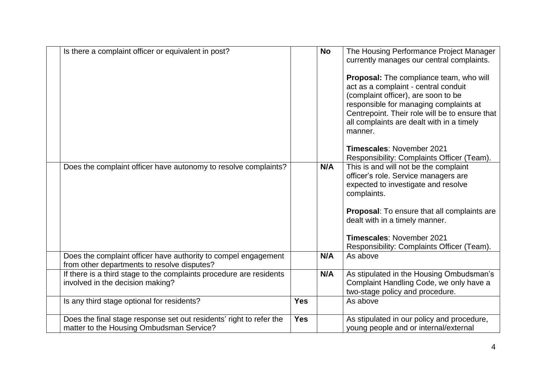| Is there a complaint officer or equivalent in post?                                                             |            | <b>No</b> | The Housing Performance Project Manager<br>currently manages our central complaints.<br>Proposal: The compliance team, who will<br>act as a complaint - central conduit<br>(complaint officer), are soon to be<br>responsible for managing complaints at<br>Centrepoint. Their role will be to ensure that<br>all complaints are dealt with in a timely<br>manner.<br><b>Timescales: November 2021</b> |
|-----------------------------------------------------------------------------------------------------------------|------------|-----------|--------------------------------------------------------------------------------------------------------------------------------------------------------------------------------------------------------------------------------------------------------------------------------------------------------------------------------------------------------------------------------------------------------|
|                                                                                                                 |            |           | Responsibility: Complaints Officer (Team).                                                                                                                                                                                                                                                                                                                                                             |
| Does the complaint officer have autonomy to resolve complaints?                                                 |            | N/A       | This is and will not be the complaint<br>officer's role. Service managers are<br>expected to investigate and resolve<br>complaints.<br><b>Proposal:</b> To ensure that all complaints are<br>dealt with in a timely manner.<br><b>Timescales: November 2021</b><br>Responsibility: Complaints Officer (Team).                                                                                          |
| Does the complaint officer have authority to compel engagement<br>from other departments to resolve disputes?   |            | N/A       | As above                                                                                                                                                                                                                                                                                                                                                                                               |
| If there is a third stage to the complaints procedure are residents<br>involved in the decision making?         |            | N/A       | As stipulated in the Housing Ombudsman's<br>Complaint Handling Code, we only have a<br>two-stage policy and procedure.                                                                                                                                                                                                                                                                                 |
| Is any third stage optional for residents?                                                                      | <b>Yes</b> |           | As above                                                                                                                                                                                                                                                                                                                                                                                               |
| Does the final stage response set out residents' right to refer the<br>matter to the Housing Ombudsman Service? | <b>Yes</b> |           | As stipulated in our policy and procedure,<br>young people and or internal/external                                                                                                                                                                                                                                                                                                                    |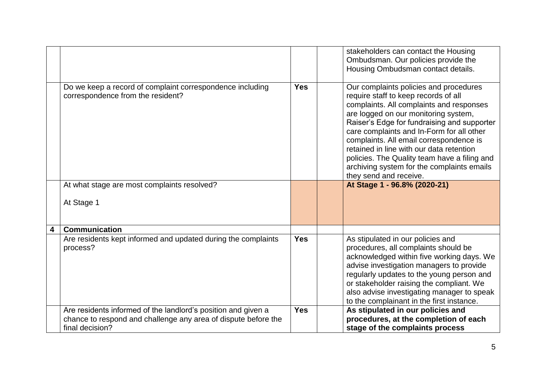|                         |                                                                                                                                                    |            | stakeholders can contact the Housing<br>Ombudsman. Our policies provide the<br>Housing Ombudsman contact details.                                                                                                                                                                                                                                                                                                                                                             |
|-------------------------|----------------------------------------------------------------------------------------------------------------------------------------------------|------------|-------------------------------------------------------------------------------------------------------------------------------------------------------------------------------------------------------------------------------------------------------------------------------------------------------------------------------------------------------------------------------------------------------------------------------------------------------------------------------|
|                         | Do we keep a record of complaint correspondence including<br>correspondence from the resident?                                                     | <b>Yes</b> | Our complaints policies and procedures<br>require staff to keep records of all<br>complaints. All complaints and responses<br>are logged on our monitoring system,<br>Raiser's Edge for fundraising and supporter<br>care complaints and In-Form for all other<br>complaints. All email correspondence is<br>retained in line with our data retention<br>policies. The Quality team have a filing and<br>archiving system for the complaints emails<br>they send and receive. |
|                         | At what stage are most complaints resolved?<br>At Stage 1                                                                                          |            | At Stage 1 - 96.8% (2020-21)                                                                                                                                                                                                                                                                                                                                                                                                                                                  |
| $\overline{\mathbf{4}}$ | <b>Communication</b>                                                                                                                               |            |                                                                                                                                                                                                                                                                                                                                                                                                                                                                               |
|                         | Are residents kept informed and updated during the complaints<br>process?                                                                          | <b>Yes</b> | As stipulated in our policies and<br>procedures, all complaints should be<br>acknowledged within five working days. We<br>advise investigation managers to provide<br>regularly updates to the young person and<br>or stakeholder raising the compliant. We<br>also advise investigating manager to speak<br>to the complainant in the first instance.                                                                                                                        |
|                         | Are residents informed of the landlord's position and given a<br>chance to respond and challenge any area of dispute before the<br>final decision? | <b>Yes</b> | As stipulated in our policies and<br>procedures, at the completion of each<br>stage of the complaints process                                                                                                                                                                                                                                                                                                                                                                 |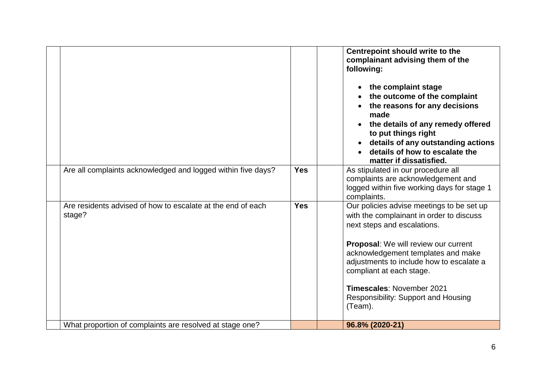|                                                                       |            | Centrepoint should write to the<br>complainant advising them of the<br>following:<br>the complaint stage<br>the outcome of the complaint<br>the reasons for any decisions<br>made<br>the details of any remedy offered<br>to put things right<br>details of any outstanding actions<br>details of how to escalate the<br>matter if dissatisfied.                        |
|-----------------------------------------------------------------------|------------|-------------------------------------------------------------------------------------------------------------------------------------------------------------------------------------------------------------------------------------------------------------------------------------------------------------------------------------------------------------------------|
| Are all complaints acknowledged and logged within five days?          | <b>Yes</b> | As stipulated in our procedure all<br>complaints are acknowledgement and<br>logged within five working days for stage 1<br>complaints.                                                                                                                                                                                                                                  |
| Are residents advised of how to escalate at the end of each<br>stage? | <b>Yes</b> | Our policies advise meetings to be set up<br>with the complainant in order to discuss<br>next steps and escalations.<br><b>Proposal:</b> We will review our current<br>acknowledgement templates and make<br>adjustments to include how to escalate a<br>compliant at each stage.<br>Timescales: November 2021<br><b>Responsibility: Support and Housing</b><br>(Team). |
| What proportion of complaints are resolved at stage one?              |            | 96.8% (2020-21)                                                                                                                                                                                                                                                                                                                                                         |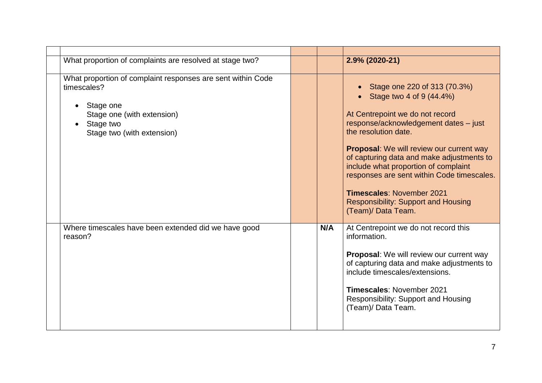| What proportion of complaints are resolved at stage two?                                                                                                         |     | $2.9\%$ (2020-21)                                                                                                                                                                                                                                                                                                                                                                                                                                          |
|------------------------------------------------------------------------------------------------------------------------------------------------------------------|-----|------------------------------------------------------------------------------------------------------------------------------------------------------------------------------------------------------------------------------------------------------------------------------------------------------------------------------------------------------------------------------------------------------------------------------------------------------------|
| What proportion of complaint responses are sent within Code<br>timescales?<br>Stage one<br>Stage one (with extension)<br>Stage two<br>Stage two (with extension) |     | Stage one 220 of 313 (70.3%)<br>Stage two 4 of 9 (44.4%)<br>At Centrepoint we do not record<br>response/acknowledgement dates - just<br>the resolution date.<br><b>Proposal:</b> We will review our current way<br>of capturing data and make adjustments to<br>include what proportion of complaint<br>responses are sent within Code timescales.<br><b>Timescales: November 2021</b><br><b>Responsibility: Support and Housing</b><br>(Team)/ Data Team. |
| Where timescales have been extended did we have good<br>reason?                                                                                                  | N/A | At Centrepoint we do not record this<br>information.<br>Proposal: We will review our current way<br>of capturing data and make adjustments to<br>include timescales/extensions.<br><b>Timescales: November 2021</b><br>Responsibility: Support and Housing<br>(Team)/ Data Team.                                                                                                                                                                           |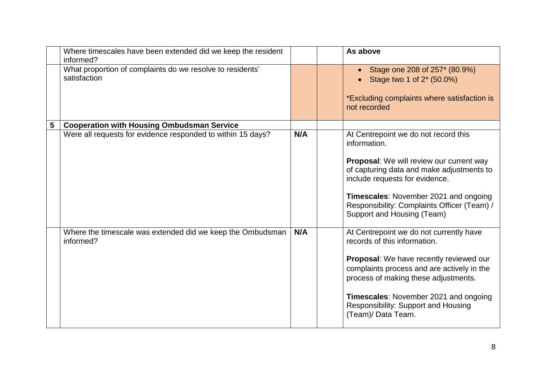|   | Where timescales have been extended did we keep the resident<br>informed? |     | As above                                                                                                                                                                                                                                                                                                       |
|---|---------------------------------------------------------------------------|-----|----------------------------------------------------------------------------------------------------------------------------------------------------------------------------------------------------------------------------------------------------------------------------------------------------------------|
|   | What proportion of complaints do we resolve to residents'<br>satisfaction |     | Stage one 208 of 257* (80.9%)<br>Stage two 1 of 2* (50.0%)<br>*Excluding complaints where satisfaction is<br>not recorded                                                                                                                                                                                      |
| 5 | <b>Cooperation with Housing Ombudsman Service</b>                         |     |                                                                                                                                                                                                                                                                                                                |
|   | Were all requests for evidence responded to within 15 days?               | N/A | At Centrepoint we do not record this<br>information.<br>Proposal: We will review our current way<br>of capturing data and make adjustments to<br>include requests for evidence.<br>Timescales: November 2021 and ongoing<br>Responsibility: Complaints Officer (Team) /<br>Support and Housing (Team)          |
|   | Where the timescale was extended did we keep the Ombudsman<br>informed?   | N/A | At Centrepoint we do not currently have<br>records of this information.<br>Proposal: We have recently reviewed our<br>complaints process and are actively in the<br>process of making these adjustments.<br>Timescales: November 2021 and ongoing<br>Responsibility: Support and Housing<br>(Team)/ Data Team. |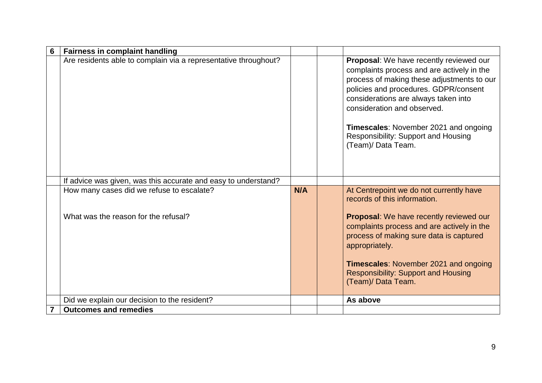| 6 | <b>Fairness in complaint handling</b>                                             |     |                                                                                                                                                                                                                                                                                                                                                           |
|---|-----------------------------------------------------------------------------------|-----|-----------------------------------------------------------------------------------------------------------------------------------------------------------------------------------------------------------------------------------------------------------------------------------------------------------------------------------------------------------|
|   | Are residents able to complain via a representative throughout?                   |     | Proposal: We have recently reviewed our<br>complaints process and are actively in the<br>process of making these adjustments to our<br>policies and procedures. GDPR/consent<br>considerations are always taken into<br>consideration and observed.<br>Timescales: November 2021 and ongoing<br>Responsibility: Support and Housing<br>(Team)/ Data Team. |
|   | If advice was given, was this accurate and easy to understand?                    |     |                                                                                                                                                                                                                                                                                                                                                           |
|   | How many cases did we refuse to escalate?<br>What was the reason for the refusal? | N/A | At Centrepoint we do not currently have<br>records of this information.<br>Proposal: We have recently reviewed our<br>complaints process and are actively in the<br>process of making sure data is captured<br>appropriately.<br><b>Timescales: November 2021 and ongoing</b><br><b>Responsibility: Support and Housing</b><br>(Team)/ Data Team.         |
|   | Did we explain our decision to the resident?                                      |     | As above                                                                                                                                                                                                                                                                                                                                                  |
|   | <b>Outcomes and remedies</b>                                                      |     |                                                                                                                                                                                                                                                                                                                                                           |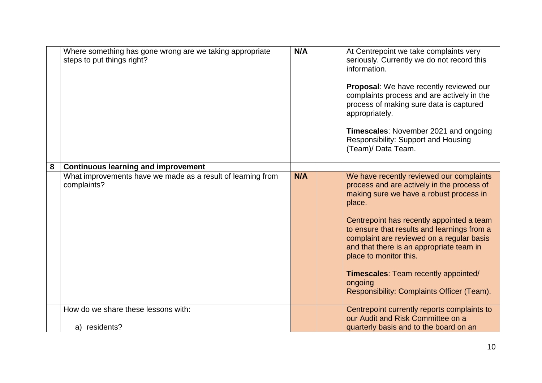|   | Where something has gone wrong are we taking appropriate<br>steps to put things right? | N/A | At Centrepoint we take complaints very<br>seriously. Currently we do not record this<br>information.<br>Proposal: We have recently reviewed our<br>complaints process and are actively in the<br>process of making sure data is captured<br>appropriately.<br>Timescales: November 2021 and ongoing<br>Responsibility: Support and Housing<br>(Team)/ Data Team.                                                                                                   |
|---|----------------------------------------------------------------------------------------|-----|--------------------------------------------------------------------------------------------------------------------------------------------------------------------------------------------------------------------------------------------------------------------------------------------------------------------------------------------------------------------------------------------------------------------------------------------------------------------|
| 8 | <b>Continuous learning and improvement</b>                                             |     |                                                                                                                                                                                                                                                                                                                                                                                                                                                                    |
|   | What improvements have we made as a result of learning from<br>complaints?             | N/A | We have recently reviewed our complaints<br>process and are actively in the process of<br>making sure we have a robust process in<br>place.<br>Centrepoint has recently appointed a team<br>to ensure that results and learnings from a<br>complaint are reviewed on a regular basis<br>and that there is an appropriate team in<br>place to monitor this.<br><b>Timescales: Team recently appointed/</b><br>ongoing<br>Responsibility: Complaints Officer (Team). |
|   | How do we share these lessons with:                                                    |     | Centrepoint currently reports complaints to<br>our Audit and Risk Committee on a                                                                                                                                                                                                                                                                                                                                                                                   |
|   | a) residents?                                                                          |     | quarterly basis and to the board on an                                                                                                                                                                                                                                                                                                                                                                                                                             |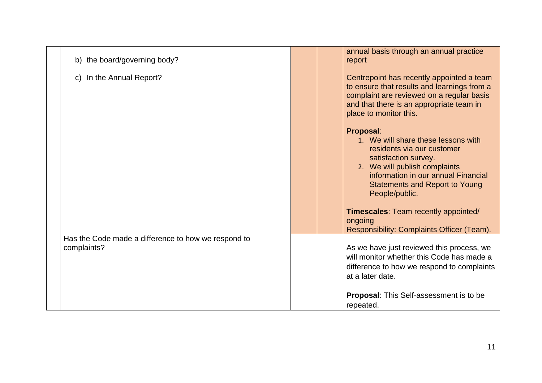| b) the board/governing body?                                       |  | annual basis through an annual practice<br>report                                                                                                                                                                                                                                        |
|--------------------------------------------------------------------|--|------------------------------------------------------------------------------------------------------------------------------------------------------------------------------------------------------------------------------------------------------------------------------------------|
| c) In the Annual Report?                                           |  | Centrepoint has recently appointed a team<br>to ensure that results and learnings from a<br>complaint are reviewed on a regular basis<br>and that there is an appropriate team in<br>place to monitor this.                                                                              |
|                                                                    |  | Proposal:<br>1. We will share these lessons with<br>residents via our customer<br>satisfaction survey.<br>2. We will publish complaints<br>information in our annual Financial<br><b>Statements and Report to Young</b><br>People/public.<br><b>Timescales: Team recently appointed/</b> |
|                                                                    |  | ongoing<br>Responsibility: Complaints Officer (Team).                                                                                                                                                                                                                                    |
| Has the Code made a difference to how we respond to<br>complaints? |  | As we have just reviewed this process, we<br>will monitor whether this Code has made a<br>difference to how we respond to complaints<br>at a later date.                                                                                                                                 |
|                                                                    |  | <b>Proposal:</b> This Self-assessment is to be<br>repeated.                                                                                                                                                                                                                              |